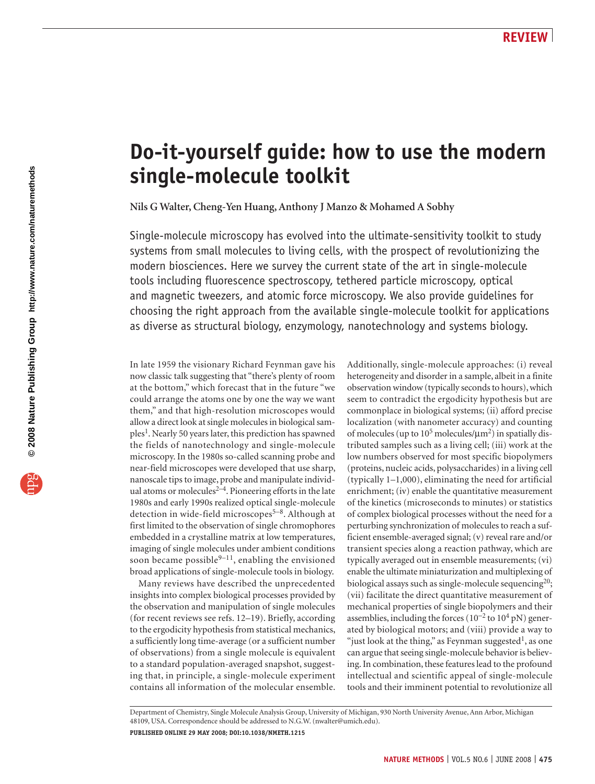# **Do-it-yourself guide: how to use the modern single-molecule toolkit**

**Nils G Walter, Cheng-Yen Huang, Anthony J Manzo & Mohamed A Sobhy**

Single-molecule microscopy has evolved into the ultimate-sensitivity toolkit to study systems from small molecules to living cells, with the prospect of revolutionizing the modern biosciences. Here we survey the current state of the art in single-molecule tools including fluorescence spectroscopy, tethered particle microscopy, optical and magnetic tweezers, and atomic force microscopy. We also provide guidelines for choosing the right approach from the available single-molecule toolkit for applications as diverse as structural biology, enzymology, nanotechnology and systems biology.

In late 1959 the visionary Richard Feynman gave his now classic talk suggesting that "there's plenty of room at the bottom," which forecast that in the future "we could arrange the atoms one by one the way we want them," and that high-resolution microscopes would allow a direct look at single molecules in biological samples<sup>1</sup>. Nearly 50 years later, this prediction has spawned the fields of nanotechnology and single-molecule microscopy. In the 1980s so-called scanning probe and near-field microscopes were developed that use sharp, nanoscale tips to image, probe and manipulate individual atoms or molecules $2-4$ . Pioneering efforts in the late 1980s and early 1990s realized optical single-molecule detection in wide-field microscopes<sup> $5-8$ </sup>. Although at first limited to the observation of single chromophores embedded in a crystalline matrix at low temperatures, imaging of single molecules under ambient conditions soon became possible $9-11$ , enabling the envisioned broad applications of single-molecule tools in biology.

Many reviews have described the unprecedented insights into complex biological processes provided by the observation and manipulation of single molecules (for recent reviews see refs. 12–19). Briefly, according to the ergodicity hypothesis from statistical mechanics, a sufficiently long time-average (or a sufficient number of observations) from a single molecule is equivalent to a standard population-averaged snapshot, suggesting that, in principle, a single-molecule experiment contains all information of the molecular ensemble. Additionally, single-molecule approaches: (i) reveal heterogeneity and disorder in a sample, albeit in a finite observation window (typically seconds to hours), which seem to contradict the ergodicity hypothesis but are commonplace in biological systems; (ii) afford precise localization (with nanometer accuracy) and counting of molecules (up to  $10^5$  molecules/ $\mu$ m<sup>2</sup>) in spatially distributed samples such as a living cell; (iii) work at the low numbers observed for most specific biopolymers (proteins, nucleic acids, polysaccharides) in a living cell (typically 1–1,000), eliminating the need for artificial enrichment; (iv) enable the quantitative measurement of the kinetics (microseconds to minutes) or statistics of complex biological processes without the need for a perturbing synchronization of molecules to reach a sufficient ensemble-averaged signal; (v) reveal rare and/or transient species along a reaction pathway, which are typically averaged out in ensemble measurements; (vi) enable the ultimate miniaturization and multiplexing of biological assays such as single-molecule sequencing<sup>20</sup>; (vii) facilitate the direct quantitative measurement of mechanical properties of single biopolymers and their assemblies, including the forces ( $10^{-2}$  to  $10^{4}$  pN) generated by biological motors; and (viii) provide a way to "just look at the thing," as Feynman suggested<sup>1</sup>, as one can argue that seeing single-molecule behavior is believing. In combination, these features lead to the profound intellectual and scientific appeal of single-molecule tools and their imminent potential to revolutionize all

Department of Chemistry, Single Molecule Analysis Group, University of Michigan, 930 North University Avenue, Ann Arbor, Michigan 48109, USA. Correspondence should be addressed to N.G.W. ([nwalter@umich.edu\)](mailto:nwalter@umich.edu).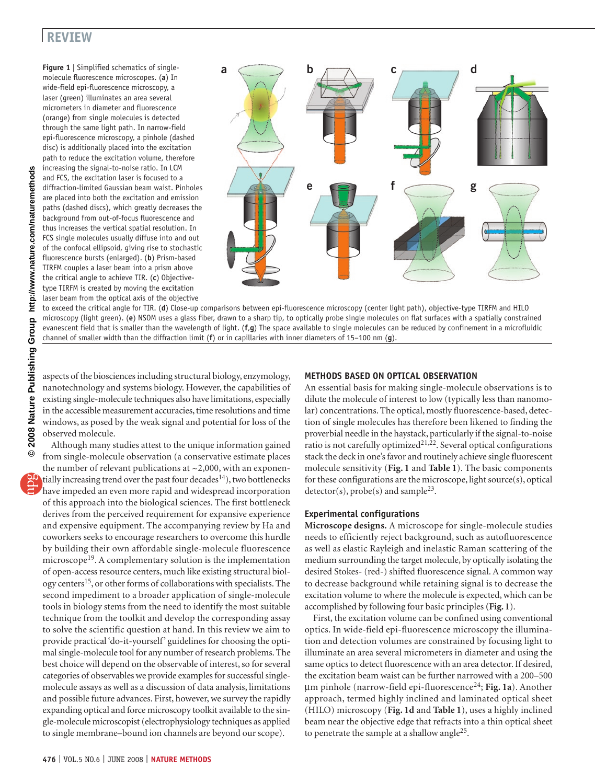**Figure 1** | Simplified schematics of singlemolecule fluorescence microscopes. (**a**) In wide-field epi-fluorescence microscopy, a laser (green) illuminates an area several micrometers in diameter and fluorescence (orange) from single molecules is detected through the same light path. In narrow-field epi-fluorescence microscopy, a pinhole (dashed disc) is additionally placed into the excitation path to reduce the excitation volume, therefore increasing the signal-to-noise ratio. In LCM and FCS, the excitation laser is focused to a diffraction-limited Gaussian beam waist. Pinholes are placed into both the excitation and emission paths (dashed discs), which greatly decreases the background from out-of-focus fluorescence and thus increases the vertical spatial resolution. In FCS single molecules usually diffuse into and out of the confocal ellipsoid, giving rise to stochastic fluorescence bursts (enlarged). (**b**) Prism-based TIRFM couples a laser beam into a prism above the critical angle to achieve TIR. (**c**) Objectivetype TIRFM is created by moving the excitation laser beam from the optical axis of the objective



to exceed the critical angle for TIR. (**d**) Close-up comparisons between epi-fluorescence microscopy (center light path), objective-type TIRFM and HILO microscopy (light green). (**e**) NSOM uses a glass fiber, drawn to a sharp tip, to optically probe single molecules on flat surfaces with a spatially constrained evanescent field that is smaller than the wavelength of light. (**f**,**g**) The space available to single molecules can be reduced by confinement in a microfluidic channel of smaller width than the diffraction limit (**f**) or in capillaries with inner diameters of 15–100 nm (**g**).

aspects of the biosciences including structural biology, enzymology, nanotechnology and systems biology. However, the capabilities of existing single-molecule techniques also have limitations, especially in the accessible measurement accuracies, time resolutions and time windows, as posed by the weak signal and potential for loss of the observed molecule.

Although many studies attest to the unique information gained from single-molecule observation (a conservative estimate places the number of relevant publications at  $\sim$  2,000, with an exponentially increasing trend over the past four decades<sup>14</sup>), two bottlenecks have impeded an even more rapid and widespread incorporation of this approach into the biological sciences. The first bottleneck derives from the perceived requirement for expansive experience and expensive equipment. The accompanying review by Ha and coworkers seeks to encourage researchers to overcome this hurdle by building their own affordable single-molecule fluorescence microscope<sup>19</sup>. A complementary solution is the implementation of open-access resource centers, much like existing structural biology centers15, or other forms of collaborations with specialists. The second impediment to a broader application of single-molecule tools in biology stems from the need to identify the most suitable technique from the toolkit and develop the corresponding assay to solve the scientific question at hand. In this review we aim to provide practical 'do-it-yourself' guidelines for choosing the optimal single-molecule tool for any number of research problems. The best choice will depend on the observable of interest, so for several categories of observables we provide examples for successful singlemolecule assays as well as a discussion of data analysis, limitations and possible future advances. First, however, we survey the rapidly expanding optical and force microscopy toolkit available to the single-molecule microscopist (electrophysiology techniques as applied to single membrane–bound ion channels are beyond our scope).

#### **METHODS BASED ON OPTICAL OBSERVATION**

An essential basis for making single-molecule observations is to dilute the molecule of interest to low (typically less than nanomolar) concentrations. The optical, mostly fluorescence-based, detection of single molecules has therefore been likened to finding the proverbial needle in the haystack, particularly if the signal-to-noise ratio is not carefully optimized<sup>21,22</sup>. Several optical configurations stack the deck in one's favor and routinely achieve single fluorescent molecule sensitivity (**Fig. 1** and **Table 1**). The basic components for these configurations are the microscope, light source(s), optical detector(s), probe(s) and sample<sup>23</sup>.

#### **Experimental configurations**

**Microscope designs.** A microscope for single-molecule studies needs to efficiently reject background, such as autofluorescence as well as elastic Rayleigh and inelastic Raman scattering of the medium surrounding the target molecule, by optically isolating the desired Stokes- (red-) shifted fluorescence signal. A common way to decrease background while retaining signal is to decrease the excitation volume to where the molecule is expected, which can be accomplished by following four basic principles **(Fig. 1**).

First, the excitation volume can be confined using conventional optics. In wide-field epi-fluorescence microscopy the illumination and detection volumes are constrained by focusing light to illuminate an area several micrometers in diameter and using the same optics to detect fluorescence with an area detector. If desired, the excitation beam waist can be further narrowed with a 200–500 µm pinhole (narrow-field epi-fluorescence24; **Fig. 1a**). Another approach, termed highly inclined and laminated optical sheet (HILO) microscopy (**Fig. 1d** and **Table 1**), uses a highly inclined beam near the objective edge that refracts into a thin optical sheet to penetrate the sample at a shallow angle<sup>25</sup>.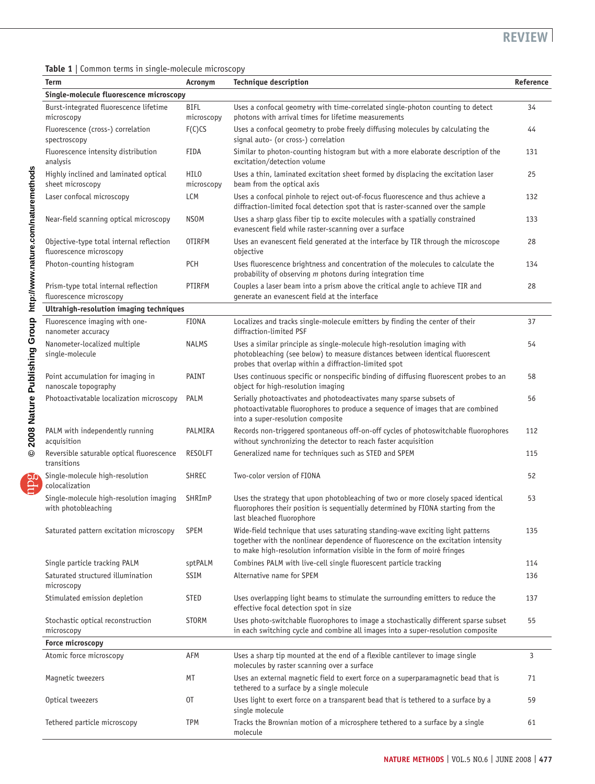**Table 1** | Common terms in single-molecule microscopy

|                                                   | Term                                                                | Acronym                   | <b>Technique description</b>                                                                                                                                                                                                                      | Reference |
|---------------------------------------------------|---------------------------------------------------------------------|---------------------------|---------------------------------------------------------------------------------------------------------------------------------------------------------------------------------------------------------------------------------------------------|-----------|
|                                                   | Single-molecule fluorescence microscopy                             |                           |                                                                                                                                                                                                                                                   |           |
|                                                   | Burst-integrated fluorescence lifetime<br>microscopy                | <b>BIFL</b><br>microscopy | Uses a confocal geometry with time-correlated single-photon counting to detect<br>photons with arrival times for lifetime measurements                                                                                                            | 34        |
|                                                   | Fluorescence (cross-) correlation<br>spectroscopy                   | $F(C)$ CS                 | Uses a confocal geometry to probe freely diffusing molecules by calculating the<br>signal auto- (or cross-) correlation                                                                                                                           | 44        |
|                                                   | Fluorescence intensity distribution<br>analysis                     | <b>FIDA</b>               | Similar to photon-counting histogram but with a more elaborate description of the<br>excitation/detection volume                                                                                                                                  | 131       |
| http://www.nature.com/naturemethods               | Highly inclined and laminated optical<br>sheet microscopy           | <b>HILO</b><br>microscopy | Uses a thin, laminated excitation sheet formed by displacing the excitation laser<br>beam from the optical axis                                                                                                                                   | 25        |
|                                                   | Laser confocal microscopy                                           | LCM                       | Uses a confocal pinhole to reject out-of-focus fluorescence and thus achieve a<br>diffraction-limited focal detection spot that is raster-scanned over the sample                                                                                 | 132       |
|                                                   | Near-field scanning optical microscopy                              | <b>NSOM</b>               | Uses a sharp glass fiber tip to excite molecules with a spatially constrained<br>evanescent field while raster-scanning over a surface                                                                                                            | 133       |
|                                                   | Objective-type total internal reflection<br>fluorescence microscopy | <b>OTIRFM</b>             | Uses an evanescent field generated at the interface by TIR through the microscope<br>objective                                                                                                                                                    | 28        |
|                                                   | Photon-counting histogram                                           | PCH                       | Uses fluorescence brightness and concentration of the molecules to calculate the<br>probability of observing $m$ photons during integration time                                                                                                  | 134       |
|                                                   | Prism-type total internal reflection<br>fluorescence microscopy     | <b>PTIRFM</b>             | Couples a laser beam into a prism above the critical angle to achieve TIR and<br>generate an evanescent field at the interface                                                                                                                    | 28        |
|                                                   | Ultrahigh-resolution imaging techniques                             |                           |                                                                                                                                                                                                                                                   |           |
| 2008 Nature Publishing Group<br>$_{\odot}$<br>apg | Fluorescence imaging with one-<br>nanometer accuracy                | <b>FIONA</b>              | Localizes and tracks single-molecule emitters by finding the center of their<br>diffraction-limited PSF                                                                                                                                           | 37        |
|                                                   | Nanometer-localized multiple<br>single-molecule                     | <b>NALMS</b>              | Uses a similar principle as single-molecule high-resolution imaging with<br>photobleaching (see below) to measure distances between identical fluorescent<br>probes that overlap within a diffraction-limited spot                                | 54        |
|                                                   | Point accumulation for imaging in<br>nanoscale topography           | PAINT                     | Uses continuous specific or nonspecific binding of diffusing fluorescent probes to an<br>object for high-resolution imaging                                                                                                                       | 58        |
|                                                   | Photoactivatable localization microscopy                            | PALM                      | Serially photoactivates and photodeactivates many sparse subsets of<br>photoactivatable fluorophores to produce a sequence of images that are combined<br>into a super-resolution composite                                                       | 56        |
|                                                   | PALM with independently running<br>acquisition                      | PALMIRA                   | Records non-triggered spontaneous off-on-off cycles of photoswitchable fluorophores<br>without synchronizing the detector to reach faster acquisition                                                                                             | 112       |
|                                                   | Reversible saturable optical fluorescence<br>transitions            | <b>RESOLFT</b>            | Generalized name for techniques such as STED and SPEM                                                                                                                                                                                             | 115       |
|                                                   | Single-molecule high-resolution<br>colocalization                   | <b>SHREC</b>              | Two-color version of FIONA                                                                                                                                                                                                                        | 52        |
|                                                   | Single-molecule high-resolution imaging<br>with photobleaching      | SHRImP                    | Uses the strategy that upon photobleaching of two or more closely spaced identical<br>fluorophores their position is sequentially determined by FIONA starting from the<br>last bleached fluorophore                                              | 53        |
|                                                   | Saturated pattern excitation microscopy                             | SPEM                      | Wide-field technique that uses saturating standing-wave exciting light patterns<br>together with the nonlinear dependence of fluorescence on the excitation intensity<br>to make high-resolution information visible in the form of moiré fringes | 135       |
|                                                   | Single particle tracking PALM                                       | sptPALM                   | Combines PALM with live-cell single fluorescent particle tracking                                                                                                                                                                                 | 114       |
|                                                   | Saturated structured illumination<br>microscopy                     | <b>SSIM</b>               | Alternative name for SPEM                                                                                                                                                                                                                         | 136       |
|                                                   | Stimulated emission depletion                                       | <b>STED</b>               | Uses overlapping light beams to stimulate the surrounding emitters to reduce the<br>effective focal detection spot in size                                                                                                                        | 137       |
|                                                   | Stochastic optical reconstruction<br>microscopy                     | <b>STORM</b>              | Uses photo-switchable fluorophores to image a stochastically different sparse subset<br>in each switching cycle and combine all images into a super-resolution composite                                                                          | 55        |
|                                                   | Force microscopy                                                    |                           |                                                                                                                                                                                                                                                   |           |
|                                                   | Atomic force microscopy                                             | AFM                       | Uses a sharp tip mounted at the end of a flexible cantilever to image single<br>molecules by raster scanning over a surface                                                                                                                       | 3         |
|                                                   | Magnetic tweezers                                                   | МT                        | Uses an external magnetic field to exert force on a superparamagnetic bead that is<br>tethered to a surface by a single molecule                                                                                                                  | 71        |
|                                                   | Optical tweezers                                                    | 0T                        | Uses light to exert force on a transparent bead that is tethered to a surface by a<br>single molecule                                                                                                                                             | 59        |
|                                                   | Tethered particle microscopy                                        | TPM                       | Tracks the Brownian motion of a microsphere tethered to a surface by a single<br>molecule                                                                                                                                                         | 61        |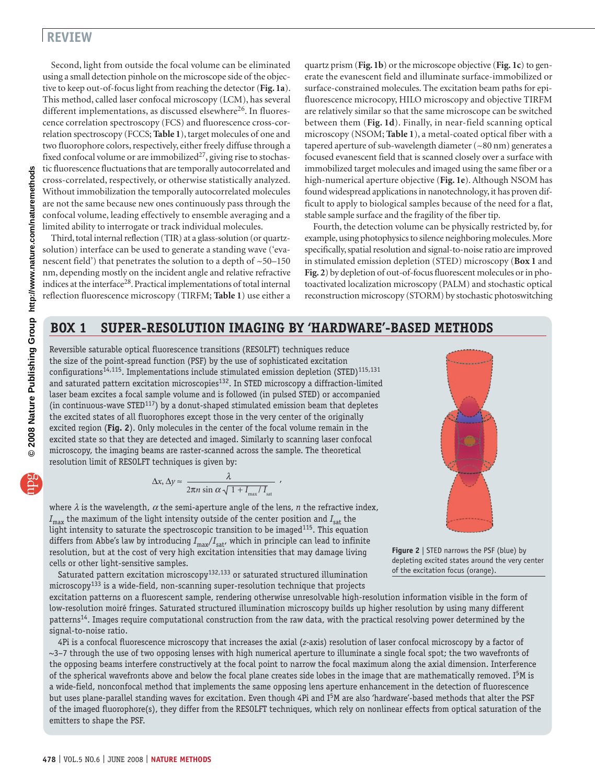Second, light from outside the focal volume can be eliminated using a small detection pinhole on the microscope side of the objective to keep out-of-focus light from reaching the detector (**Fig. 1a**). This method, called laser confocal microscopy (LCM), has several different implementations, as discussed elsewhere<sup>26</sup>. In fluorescence correlation spectroscopy (FCS) and fluorescence cross-correlation spectroscopy (FCCS; **Table 1**), target molecules of one and two fluorophore colors, respectively, either freely diffuse through a fixed confocal volume or are immobilized<sup>27</sup>, giving rise to stochastic fluorescence fluctuations that are temporally autocorrelated and cross-correlated, respectively, or otherwise statistically analyzed. Without immobilization the temporally autocorrelated molecules are not the same because new ones continuously pass through the confocal volume, leading effectively to ensemble averaging and a limited ability to interrogate or track individual molecules.

Third, total internal reflection (TIR) at a glass-solution (or quartzsolution) interface can be used to generate a standing wave ('evanescent field') that penetrates the solution to a depth of  $~50-150$ nm, depending mostly on the incident angle and relative refractive indices at the interface<sup>28</sup>. Practical implementations of total internal reflection fluorescence microscopy (TIRFM; **Table 1**) use either a quartz prism (**Fig. 1b**) or the microscope objective (**Fig. 1c**) to generate the evanescent field and illuminate surface-immobilized or surface-constrained molecules. The excitation beam paths for epifluorescence microcopy, HILO microscopy and objective TIRFM are relatively similar so that the same microscope can be switched between them (**Fig. 1d**). Finally, in near-field scanning optical microscopy (NSOM; **Table 1**), a metal-coated optical fiber with a tapered aperture of sub-wavelength diameter (~80 nm) generates a focused evanescent field that is scanned closely over a surface with immobilized target molecules and imaged using the same fiber or a high-numerical aperture objective (**Fig. 1e**). Although NSOM has found widespread applications in nanotechnology, it has proven difficult to apply to biological samples because of the need for a flat, stable sample surface and the fragility of the fiber tip.

Fourth, the detection volume can be physically restricted by, for example, using photophysics to silence neighboring molecules. More specifically, spatial resolution and signal-to-noise ratio are improved in stimulated emission depletion (STED) microscopy (**Box 1** and **Fig. 2**) by depletion of out-of-focus fluorescent molecules or in photoactivated localization microscopy (PALM) and stochastic optical reconstruction microscopy (STORM) by stochastic photoswitching

### **BOX 1 SUPER-RESOLUTION IMAGING BY 'HARDWARE'-BASED METHODS**

Reversible saturable optical fluorescence transitions (RESOLFT) techniques reduce the size of the point-spread function (PSF) by the use of sophisticated excitation configurations<sup>14,115</sup>. Implementations include stimulated emission depletion (STED)<sup>115,131</sup> and saturated pattern excitation microscopies<sup>132</sup>. In STED microscopy a diffraction-limited laser beam excites a focal sample volume and is followed (in pulsed STED) or accompanied (in continuous-wave STED117) by a donut-shaped stimulated emission beam that depletes the excited states of all fluorophores except those in the very center of the originally excited region (**Fig. 2**). Only molecules in the center of the focal volume remain in the excited state so that they are detected and imaged. Similarly to scanning laser confocal microscopy, the imaging beams are raster-scanned across the sample. The theoretical resolution limit of RESOLFT techniques is given by:

$$
\Delta x, \Delta y \approx \frac{\lambda}{2\pi n \sin \alpha \sqrt{1 + I_{\text{max}}/I_{\text{sat}}}} \; ,
$$

where  $\lambda$  is the wavelength,  $\alpha$  the semi-aperture angle of the lens,  $n$  the refractive index, *I*max the maximum of the light intensity outside of the center position and *I*sat the light intensity to saturate the spectroscopic transition to be imaged $^{115}$ . This equation differs from Abbe's law by introducing *I*max/*I*sat, which in principle can lead to infinite resolution, but at the cost of very high excitation intensities that may damage living cells or other light-sensitive samples.

Saturated pattern excitation microscopy<sup>132,133</sup> or saturated structured illumination microscopy133 is a wide-field, non-scanning super-resolution technique that projects



**Figure 2** | STED narrows the PSF (blue) by depleting excited states around the very center of the excitation focus (orange).

excitation patterns on a fluorescent sample, rendering otherwise unresolvable high-resolution information visible in the form of low-resolution moiré fringes. Saturated structured illumination microscopy builds up higher resolution by using many different patterns<sup>14</sup>. Images require computational construction from the raw data, with the practical resolving power determined by the signal-to-noise ratio.

4Pi is a confocal fluorescence microscopy that increases the axial (*z-*axis) resolution of laser confocal microscopy by a factor of ~3–7 through the use of two opposing lenses with high numerical aperture to illuminate a single focal spot; the two wavefronts of the opposing beams interfere constructively at the focal point to narrow the focal maximum along the axial dimension. Interference of the spherical wavefronts above and below the focal plane creates side lobes in the image that are mathematically removed. I<sup>5</sup>M is a wide-field, nonconfocal method that implements the same opposing lens aperture enhancement in the detection of fluorescence but uses plane-parallel standing waves for excitation. Even though 4Pi and I5M are also 'hardware'-based methods that alter the PSF of the imaged fluorophore(s), they differ from the RESOLFT techniques, which rely on nonlinear effects from optical saturation of the emitters to shape the PSF.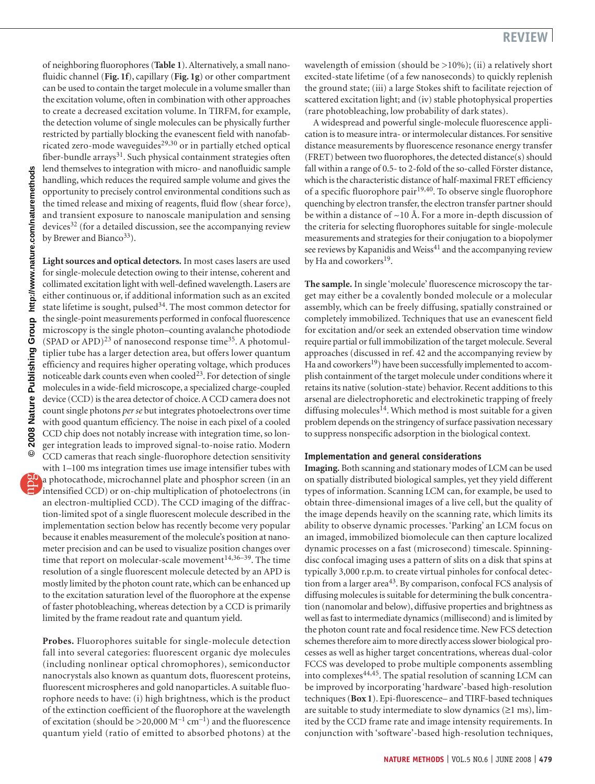of neighboring fluorophores (**Table 1**). Alternatively, a small nanofluidic channel (**Fig. 1f**), capillary (**Fig. 1g**) or other compartment can be used to contain the target molecule in a volume smaller than the excitation volume, often in combination with other approaches to create a decreased excitation volume. In TIRFM, for example, the detection volume of single molecules can be physically further restricted by partially blocking the evanescent field with nanofabricated zero-mode waveguides<sup>29,30</sup> or in partially etched optical fiber-bundle arrays<sup>31</sup>. Such physical containment strategies often lend themselves to integration with micro- and nanofluidic sample handling, which reduces the required sample volume and gives the opportunity to precisely control environmental conditions such as the timed release and mixing of reagents, fluid flow (shear force), and transient exposure to nanoscale manipulation and sensing devices<sup>32</sup> (for a detailed discussion, see the accompanying review by Brewer and Bianco $33$ ).

**Light sources and optical detectors.** In most cases lasers are used for single-molecule detection owing to their intense, coherent and collimated excitation light with well-defined wavelength. Lasers are either continuous or, if additional information such as an excited state lifetime is sought, pulsed<sup>34</sup>. The most common detector for the single-point measurements performed in confocal fluorescence microscopy is the single photon–counting avalanche photodiode  $(SPAD or APD)<sup>23</sup>$  of nanosecond response time<sup>35</sup>. A photomultiplier tube has a larger detection area, but offers lower quantum efficiency and requires higher operating voltage, which produces noticeable dark counts even when cooled $^{23}$ . For detection of single molecules in a wide-field microscope, a specialized charge-coupled device (CCD) is the area detector of choice. A CCD camera does not count single photons *per se* but integrates photoelectrons over time with good quantum efficiency. The noise in each pixel of a cooled CCD chip does not notably increase with integration time, so longer integration leads to improved signal-to-noise ratio. Modern CCD cameras that reach single-fluorophore detection sensitivity with 1–100 ms integration times use image intensifier tubes with a photocathode, microchannel plate and phosphor screen (in an intensified CCD) or on-chip multiplication of photoelectrons (in an electron-multiplied CCD). The CCD imaging of the diffraction-limited spot of a single fluorescent molecule described in the implementation section below has recently become very popular because it enables measurement of the molecule's position at nanometer precision and can be used to visualize position changes over time that report on molecular-scale movement<sup>14,36–39</sup>. The time resolution of a single fluorescent molecule detected by an APD is mostly limited by the photon count rate, which can be enhanced up to the excitation saturation level of the fluorophore at the expense of faster photobleaching, whereas detection by a CCD is primarily limited by the frame readout rate and quantum yield.

**Probes.** Fluorophores suitable for single-molecule detection fall into several categories: fluorescent organic dye molecules (including nonlinear optical chromophores), semiconductor nanocrystals also known as quantum dots, fluorescent proteins, fluorescent microspheres and gold nanoparticles. A suitable fluorophore needs to have: (i) high brightness, which is the product of the extinction coefficient of the fluorophore at the wavelength of excitation (should be  $>20,000$  M<sup>-1</sup> cm<sup>-1</sup>) and the fluorescence quantum yield (ratio of emitted to absorbed photons) at the wavelength of emission (should be >10%); (ii) a relatively short excited-state lifetime (of a few nanoseconds) to quickly replenish the ground state; (iii) a large Stokes shift to facilitate rejection of scattered excitation light; and (iv) stable photophysical properties (rare photobleaching, low probability of dark states).

A widespread and powerful single-molecule fluorescence application is to measure intra- or intermolecular distances. For sensitive distance measurements by fluorescence resonance energy transfer (FRET) between two fluorophores, the detected distance(s) should fall within a range of 0.5- to 2-fold of the so-called Förster distance, which is the characteristic distance of half-maximal FRET efficiency of a specific fluorophore pair<sup>19,40</sup>. To observe single fluorophore quenching by electron transfer, the electron transfer partner should be within a distance of  $\sim$ 10 Å. For a more in-depth discussion of the criteria for selecting fluorophores suitable for single-molecule measurements and strategies for their conjugation to a biopolymer see reviews by Kapanidis and Weiss<sup>41</sup> and the accompanying review by Ha and coworkers<sup>19</sup>.

**The sample.** In single 'molecule' fluorescence microscopy the target may either be a covalently bonded molecule or a molecular assembly, which can be freely diffusing, spatially constrained or completely immobilized. Techniques that use an evanescent field for excitation and/or seek an extended observation time window require partial or full immobilization of the target molecule. Several approaches (discussed in ref. 42 and the accompanying review by Ha and coworkers<sup>19</sup>) have been successfully implemented to accomplish containment of the target molecule under conditions where it retains its native (solution-state) behavior. Recent additions to this arsenal are dielectrophoretic and electrokinetic trapping of freely diffusing molecules<sup>14</sup>. Which method is most suitable for a given problem depends on the stringency of surface passivation necessary to suppress nonspecific adsorption in the biological context.

#### **Implementation and general considerations**

**Imaging.** Both scanning and stationary modes of LCM can be used on spatially distributed biological samples, yet they yield different types of information. Scanning LCM can, for example, be used to obtain three-dimensional images of a live cell, but the quality of the image depends heavily on the scanning rate, which limits its ability to observe dynamic processes. 'Parking' an LCM focus on an imaged, immobilized biomolecule can then capture localized dynamic processes on a fast (microsecond) timescale. Spinningdisc confocal imaging uses a pattern of slits on a disk that spins at typically 3,000 r.p.m. to create virtual pinholes for confocal detection from a larger area<sup>43</sup>. By comparison, confocal FCS analysis of diffusing molecules is suitable for determining the bulk concentration (nanomolar and below), diffusive properties and brightness as well as fast to intermediate dynamics (millisecond) and is limited by the photon count rate and focal residence time. New FCS detection schemes therefore aim to more directly access slower biological processes as well as higher target concentrations, whereas dual-color FCCS was developed to probe multiple components assembling into complexes<sup>44,45</sup>. The spatial resolution of scanning LCM can be improved by incorporating 'hardware'-based high-resolution techniques (**Box 1**). Epi-fluorescence– and TIRF-based techniques are suitable to study intermediate to slow dynamics  $(≥1$  ms), limited by the CCD frame rate and image intensity requirements. In conjunction with 'software'-based high-resolution techniques,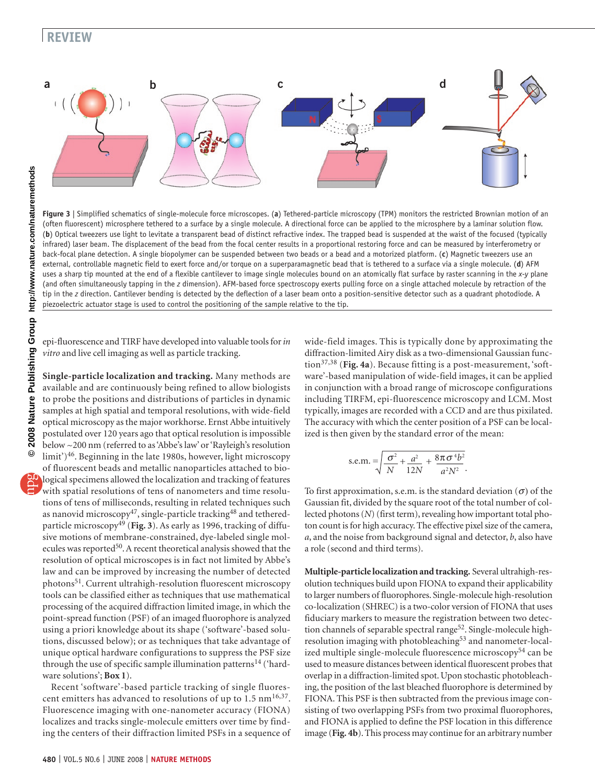

**Figure 3** | Simplified schematics of single-molecule force microscopes. (**a**) Tethered-particle microscopy (TPM) monitors the restricted Brownian motion of an (often fluorescent) microsphere tethered to a surface by a single molecule. A directional force can be applied to the microsphere by a laminar solution flow. (**b**) Optical tweezers use light to levitate a transparent bead of distinct refractive index. The trapped bead is suspended at the waist of the focused (typically infrared) laser beam. The displacement of the bead from the focal center results in a proportional restoring force and can be measured by interferometry or back-focal plane detection. A single biopolymer can be suspended between two beads or a bead and a motorized platform. (**c**) Magnetic tweezers use an external, controllable magnetic field to exert force and/or torque on a superparamagnetic bead that is tethered to a surface via a single molecule. (**d**) AFM uses a sharp tip mounted at the end of a flexible cantilever to image single molecules bound on an atomically flat surface by raster scanning in the *x*-*y* plane (and often simultaneously tapping in the *z* dimension). AFM-based force spectroscopy exerts pulling force on a single attached molecule by retraction of the tip in the *z* direction. Cantilever bending is detected by the deflection of a laser beam onto a position-sensitive detector such as a quadrant photodiode. A piezoelectric actuator stage is used to control the positioning of the sample relative to the tip.

epi-fluorescence and TIRF have developed into valuable tools for *in vitro* and live cell imaging as well as particle tracking.

**Single-particle localization and tracking.** Many methods are available and are continuously being refined to allow biologists to probe the positions and distributions of particles in dynamic samples at high spatial and temporal resolutions, with wide-field optical microscopy as the major workhorse. Ernst Abbe intuitively postulated over 120 years ago that optical resolution is impossible below ~200 nm (referred to as 'Abbe's law' or 'Rayleigh's resolution limit')<sup>46</sup>. Beginning in the late 1980s, however, light microscopy of fluorescent beads and metallic nanoparticles attached to biological specimens allowed the localization and tracking of features with spatial resolutions of tens of nanometers and time resolutions of tens of milliseconds, resulting in related techniques such as nanovid microscopy<sup>47</sup>, single-particle tracking<sup>48</sup> and tetheredparticle microscopy<sup>49</sup> (Fig. 3). As early as 1996, tracking of diffusive motions of membrane-constrained, dye-labeled single molecules was reported<sup>50</sup>. A recent theoretical analysis showed that the resolution of optical microscopes is in fact not limited by Abbe's law and can be improved by increasing the number of detected photons<sup>51</sup>. Current ultrahigh-resolution fluorescent microscopy tools can be classified either as techniques that use mathematical processing of the acquired diffraction limited image, in which the point-spread function (PSF) of an imaged fluorophore is analyzed using a priori knowledge about its shape ('software'-based solutions, discussed below); or as techniques that take advantage of unique optical hardware configurations to suppress the PSF size through the use of specific sample illumination patterns<sup>14</sup> ('hardware solutions'; **Box 1**).

Recent 'software'-based particle tracking of single fluorescent emitters has advanced to resolutions of up to 1.5  $nm^{16,37}$ . Fluorescence imaging with one-nanometer accuracy (FIONA) localizes and tracks single-molecule emitters over time by finding the centers of their diffraction limited PSFs in a sequence of wide-field images. This is typically done by approximating the diffraction-limited Airy disk as a two-dimensional Gaussian function37,38 (**Fig. 4a**). Because fitting is a post-measurement, 'software'-based manipulation of wide-field images, it can be applied in conjunction with a broad range of microscope configurations including TIRFM, epi-fluorescence microscopy and LCM. Most typically, images are recorded with a CCD and are thus pixilated. The accuracy with which the center position of a PSF can be localized is then given by the standard error of the mean:

$$
\text{s.e.m.} = \sqrt{\frac{\sigma^2}{N} + \frac{a^2}{12N} + \frac{8\pi\sigma^4b^2}{a^2N^2}}.
$$

To first approximation, s.e.m. is the standard deviation  $(\sigma)$  of the Gaussian fit, divided by the square root of the total number of collected photons (*N*) (first term), revealing how important total photon count is for high accuracy. The effective pixel size of the camera, *a*, and the noise from background signal and detector, *b*, also have a role (second and third terms).

**Multiple-particle localization and tracking.** Several ultrahigh-resolution techniques build upon FIONA to expand their applicability to larger numbers of fluorophores. Single-molecule high-resolution co-localization (SHREC) is a two-color version of FIONA that uses fiduciary markers to measure the registration between two detection channels of separable spectral range<sup>52</sup>. Single-molecule highresolution imaging with photobleaching<sup>53</sup> and nanometer-localized multiple single-molecule fluorescence microscopy<sup>54</sup> can be used to measure distances between identical fluorescent probes that overlap in a diffraction-limited spot. Upon stochastic photobleaching, the position of the last bleached fluorophore is determined by FIONA. This PSF is then subtracted from the previous image consisting of two overlapping PSFs from two proximal fluorophores, and FIONA is applied to define the PSF location in this difference image (**Fig. 4b**). This process may continue for an arbitrary number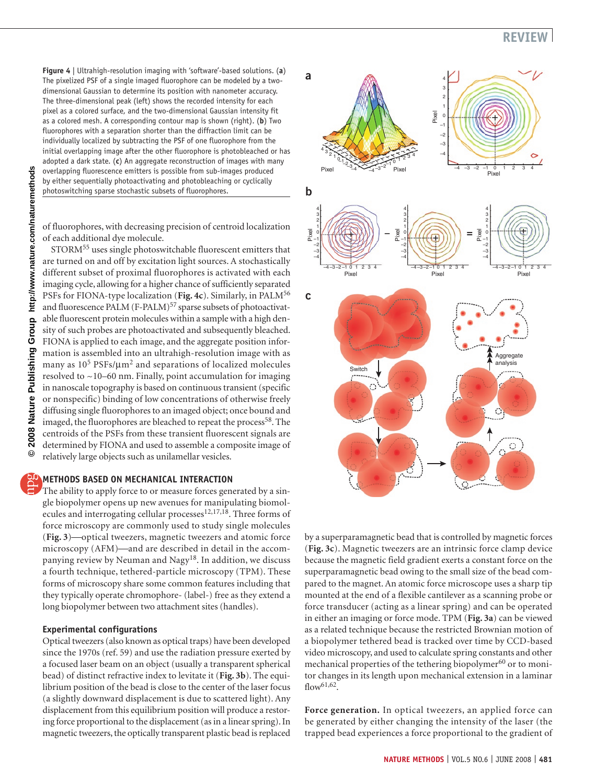**Figure 4** | Ultrahigh-resolution imaging with 'software'-based solutions. (**a**) The pixelized PSF of a single imaged fluorophore can be modeled by a twodimensional Gaussian to determine its position with nanometer accuracy. The three-dimensional peak (left) shows the recorded intensity for each pixel as a colored surface, and the two-dimensional Gaussian intensity fit as a colored mesh. A corresponding contour map is shown (right). (**b**) Two fluorophores with a separation shorter than the diffraction limit can be individually localized by subtracting the PSF of one fluorophore from the initial overlapping image after the other fluorophore is photobleached or has adopted a dark state. (**c**) An aggregate reconstruction of images with many overlapping fluorescence emitters is possible from sub-images produced by either sequentially photoactivating and photobleaching or cyclically photoswitching sparse stochastic subsets of fluorophores.

of fluorophores, with decreasing precision of centroid localization of each additional dye molecule.

STORM<sup>55</sup> uses single photoswitchable fluorescent emitters that are turned on and off by excitation light sources. A stochastically different subset of proximal fluorophores is activated with each imaging cycle, allowing for a higher chance of sufficiently separated PSFs for FIONA-type localization (**Fig. 4c**). Similarly, in PALM<sup>56</sup> and fluorescence PALM (F-PALM)<sup>57</sup> sparse subsets of photoactivatable fluorescent protein molecules within a sample with a high density of such probes are photoactivated and subsequently bleached. FIONA is applied to each image, and the aggregate position information is assembled into an ultrahigh-resolution image with as many as  $10^5$  PSFs/ $\mu$ m<sup>2</sup> and separations of localized molecules resolved to ~10–60 nm. Finally, point accumulation for imaging in nanoscale topography is based on continuous transient (specific or nonspecific) binding of low concentrations of otherwise freely diffusing single fluorophores to an imaged object; once bound and imaged, the fluorophores are bleached to repeat the process<sup>58</sup>. The centroids of the PSFs from these transient fluorescent signals are determined by FIONA and used to assemble a composite image of relatively large objects such as unilamellar vesicles.

#### **METHODS BASED ON MECHANICAL INTERACTION**

The ability to apply force to or measure forces generated by a single biopolymer opens up new avenues for manipulating biomolecules and interrogating cellular processes $12,17,18$ . Three forms of force microscopy are commonly used to study single molecules (Fig. 3)-optical tweezers, magnetic tweezers and atomic force microscopy (AFM)—and are described in detail in the accompanying review by Neuman and Nagy<sup>18</sup>. In addition, we discuss a fourth technique, tethered-particle microscopy (TPM). These forms of microscopy share some common features including that they typically operate chromophore- (label-) free as they extend a long biopolymer between two attachment sites (handles).

#### **Experimental configurations**

Optical tweezers (also known as optical traps) have been developed since the 1970s (ref. 59) and use the radiation pressure exerted by a focused laser beam on an object (usually a transparent spherical bead) of distinct refractive index to levitate it (**Fig. 3b**). The equilibrium position of the bead is close to the center of the laser focus (a slightly downward displacement is due to scattered light). Any displacement from this equilibrium position will produce a restoring force proportional to the displacement (as in a linear spring). In magnetic tweezers, the optically transparent plastic bead is replaced



by a superparamagnetic bead that is controlled by magnetic forces (**Fig. 3c**). Magnetic tweezers are an intrinsic force clamp device because the magnetic field gradient exerts a constant force on the superparamagnetic bead owing to the small size of the bead compared to the magnet. An atomic force microscope uses a sharp tip mounted at the end of a flexible cantilever as a scanning probe or force transducer (acting as a linear spring) and can be operated in either an imaging or force mode. TPM (**Fig. 3a**) can be viewed as a related technique because the restricted Brownian motion of a biopolymer tethered bead is tracked over time by CCD-based video microscopy, and used to calculate spring constants and other mechanical properties of the tethering biopolymer $60$  or to monitor changes in its length upon mechanical extension in a laminar  $flow^{61,62}$ .

**Force generation.** In optical tweezers, an applied force can be generated by either changing the intensity of the laser (the trapped bead experiences a force proportional to the gradient of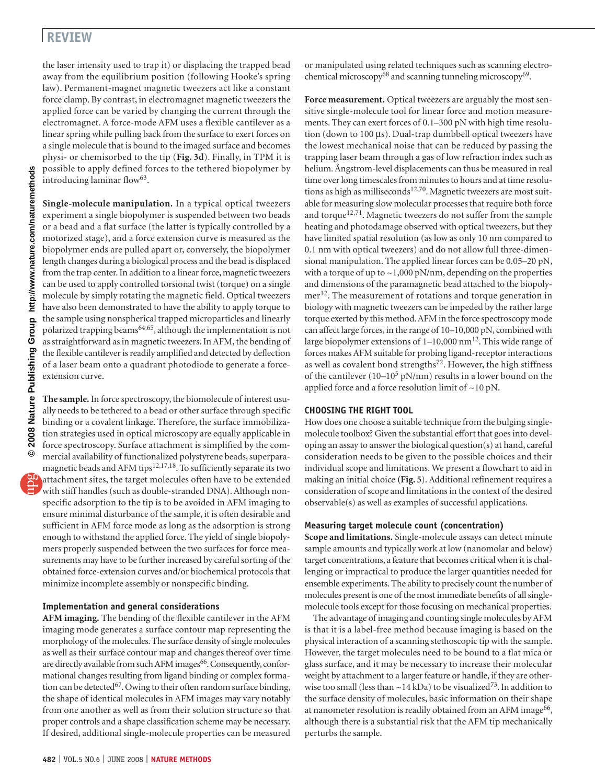the laser intensity used to trap it) or displacing the trapped bead away from the equilibrium position (following Hooke's spring law). Permanent-magnet magnetic tweezers act like a constant force clamp. By contrast, in electromagnet magnetic tweezers the applied force can be varied by changing the current through the electromagnet. A force-mode AFM uses a flexible cantilever as a linear spring while pulling back from the surface to exert forces on a single molecule that is bound to the imaged surface and becomes physi- or chemisorbed to the tip (**Fig. 3d**). Finally, in TPM it is possible to apply defined forces to the tethered biopolymer by introducing laminar flow<sup>63</sup>.

**Single-molecule manipulation.** In a typical optical tweezers experiment a single biopolymer is suspended between two beads or a bead and a flat surface (the latter is typically controlled by a motorized stage), and a force extension curve is measured as the biopolymer ends are pulled apart or, conversely, the biopolymer length changes during a biological process and the bead is displaced from the trap center. In addition to a linear force, magnetic tweezers can be used to apply controlled torsional twist (torque) on a single molecule by simply rotating the magnetic field. Optical tweezers have also been demonstrated to have the ability to apply torque to the sample using nonspherical trapped microparticles and linearly polarized trapping beams64,65, although the implementation is not as straightforward as in magnetic tweezers. In AFM, the bending of the flexible cantilever is readily amplified and detected by deflection of a laser beam onto a quadrant photodiode to generate a forceextension curve.

**The sample.** In force spectroscopy, the biomolecule of interest usually needs to be tethered to a bead or other surface through specific binding or a covalent linkage. Therefore, the surface immobilization strategies used in optical microscopy are equally applicable in force spectroscopy. Surface attachment is simplified by the commercial availability of functionalized polystyrene beads, superparamagnetic beads and AFM tips<sup>12,17,18</sup>. To sufficiently separate its two attachment sites, the target molecules often have to be extended with stiff handles (such as double-stranded DNA). Although nonspecific adsorption to the tip is to be avoided in AFM imaging to ensure minimal disturbance of the sample, it is often desirable and sufficient in AFM force mode as long as the adsorption is strong enough to withstand the applied force. The yield of single biopolymers properly suspended between the two surfaces for force measurements may have to be further increased by careful sorting of the obtained force-extension curves and/or biochemical protocols that minimize incomplete assembly or nonspecific binding.

#### **Implementation and general considerations**

**AFM imaging.** The bending of the flexible cantilever in the AFM imaging mode generates a surface contour map representing the morphology of the molecules. The surface density of single molecules as well as their surface contour map and changes thereof over time are directly available from such AFM images<sup>66</sup>. Consequently, conformational changes resulting from ligand binding or complex formation can be detected<sup>67</sup>. Owing to their often random surface binding, the shape of identical molecules in AFM images may vary notably from one another as well as from their solution structure so that proper controls and a shape classification scheme may be necessary. If desired, additional single-molecule properties can be measured or manipulated using related techniques such as scanning electrochemical microscopy<sup>68</sup> and scanning tunneling microscopy<sup>69</sup>.

**Force measurement.** Optical tweezers are arguably the most sensitive single-molecule tool for linear force and motion measurements. They can exert forces of 0.1–300 pN with high time resolution (down to 100 µs). Dual-trap dumbbell optical tweezers have the lowest mechanical noise that can be reduced by passing the trapping laser beam through a gas of low refraction index such as helium. Ångstrom-level displacements can thus be measured in real time over long timescales from minutes to hours and at time resolutions as high as milliseconds<sup>12,70</sup>. Magnetic tweezers are most suitable for measuring slow molecular processes that require both force and torque<sup>12,71</sup>. Magnetic tweezers do not suffer from the sample heating and photodamage observed with optical tweezers, but they have limited spatial resolution (as low as only 10 nm compared to 0.1 nm with optical tweezers) and do not allow full three-dimensional manipulation. The applied linear forces can be 0.05–20 pN, with a torque of up to  $\sim$  1,000 pN/nm, depending on the properties and dimensions of the paramagnetic bead attached to the biopolymer<sup>12</sup>. The measurement of rotations and torque generation in biology with magnetic tweezers can be impeded by the rather large torque exerted by this method. AFM in the force spectroscopy mode can affect large forces, in the range of 10–10,000 pN, combined with large biopolymer extensions of  $1-10,000$  nm<sup>12</sup>. This wide range of forces makes AFM suitable for probing ligand-receptor interactions as well as covalent bond strengths<sup>72</sup>. However, the high stiffness of the cantilever  $(10-10^5 \text{ pN/nm})$  results in a lower bound on the applied force and a force resolution limit of ~10 pN.

#### **CHOOSING THE RIGHT TOOL**

How does one choose a suitable technique from the bulging singlemolecule toolbox? Given the substantial effort that goes into developing an assay to answer the biological question(s) at hand, careful consideration needs to be given to the possible choices and their individual scope and limitations. We present a flowchart to aid in making an initial choice **(Fig. 5**). Additional refinement requires a consideration of scope and limitations in the context of the desired observable(s) as well as examples of successful applications.

#### **Measuring target molecule count (concentration)**

**Scope and limitations.** Single-molecule assays can detect minute sample amounts and typically work at low (nanomolar and below) target concentrations, a feature that becomes critical when it is challenging or impractical to produce the larger quantities needed for ensemble experiments. The ability to precisely count the number of molecules present is one of the most immediate benefits of all singlemolecule tools except for those focusing on mechanical properties.

The advantage of imaging and counting single molecules by AFM is that it is a label-free method because imaging is based on the physical interaction of a scanning stethoscopic tip with the sample. However, the target molecules need to be bound to a flat mica or glass surface, and it may be necessary to increase their molecular weight by attachment to a larger feature or handle, if they are otherwise too small (less than  $\sim$  14 kDa) to be visualized<sup>73</sup>. In addition to the surface density of molecules, basic information on their shape at nanometer resolution is readily obtained from an AFM image<sup>66</sup>, although there is a substantial risk that the AFM tip mechanically perturbs the sample.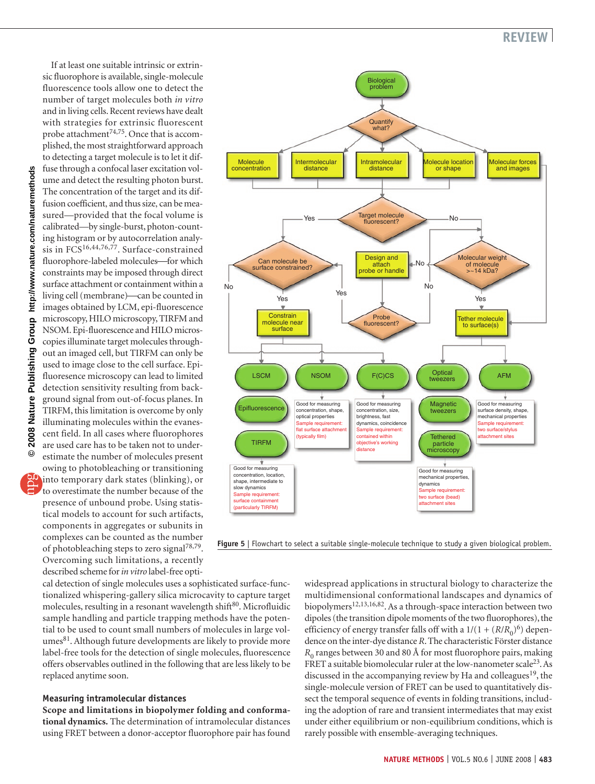If at least one suitable intrinsic or extrinsic fluorophore is available, single-molecule fluorescence tools allow one to detect the number of target molecules both *in vitro* and in living cells. Recent reviews have dealt with strategies for extrinsic fluorescent probe attachment<sup>74,75</sup>. Once that is accomplished, the most straightforward approach to detecting a target molecule is to let it diffuse through a confocal laser excitation volume and detect the resulting photon burst. The concentration of the target and its diffusion coefficient, and thus size, can be measured—provided that the focal volume is calibrated—by single-burst, photon-counting histogram or by autocorrelation analysis in FCS<sup>16,44,76,77</sup>. Surface-constrained fluorophore-labeled molecules-for which constraints may be imposed through direct surface attachment or containment within a living cell (membrane)—can be counted in images obtained by LCM, epi-fluorescence microscopy, HILO microscopy, TIRFM and NSOM. Epi-fluorescence and HILO microscopies illuminate target molecules throughout an imaged cell, but TIRFM can only be used to image close to the cell surface. Epifluoresence microscopy can lead to limited detection sensitivity resulting from background signal from out-of-focus planes. In TIRFM, this limitation is overcome by only illuminating molecules within the evanescent field. In all cases where fluorophores are used care has to be taken not to underestimate the number of molecules present owing to photobleaching or transitioning into temporary dark states (blinking), or to overestimate the number because of the presence of unbound probe. Using statis-

tical models to account for such artifacts, components in aggregates or subunits in complexes can be counted as the number of photobleaching steps to zero signal78,79. Overcoming such limitations, a recently described scheme for *in vitro* label-free opti-



**Figure 5** | Flowchart to select a suitable single-molecule technique to study a given biological problem.

cal detection of single molecules uses a sophisticated surface-functionalized whispering-gallery silica microcavity to capture target molecules, resulting in a resonant wavelength shift<sup>80</sup>. Microfluidic sample handling and particle trapping methods have the potential to be used to count small numbers of molecules in large volumes81. Although future developments are likely to provide more label-free tools for the detection of single molecules, fluorescence offers observables outlined in the following that are less likely to be replaced anytime soon.

#### **Measuring intramolecular distances**

**Scope and limitations in biopolymer folding and conformational dynamics.** The determination of intramolecular distances using FRET between a donor-acceptor fluorophore pair has found

widespread applications in structural biology to characterize the multidimensional conformational landscapes and dynamics of biopolymers<sup>12,13,16,82</sup>. As a through-space interaction between two dipoles (the transition dipole moments of the two fluorophores), the efficiency of energy transfer falls off with a  $1/(1 + (R/R_0)^6)$  dependence on the inter-dye distance *R*. The characteristic Förster distance  $R_0$  ranges between 30 and 80 Å for most fluorophore pairs, making FRET a suitable biomolecular ruler at the low-nanometer scale<sup>23</sup>. As discussed in the accompanying review by Ha and colleagues<sup>19</sup>, the single-molecule version of FRET can be used to quantitatively dissect the temporal sequence of events in folding transitions, including the adoption of rare and transient intermediates that may exist under either equilibrium or non-equilibrium conditions, which is rarely possible with ensemble-averaging techniques.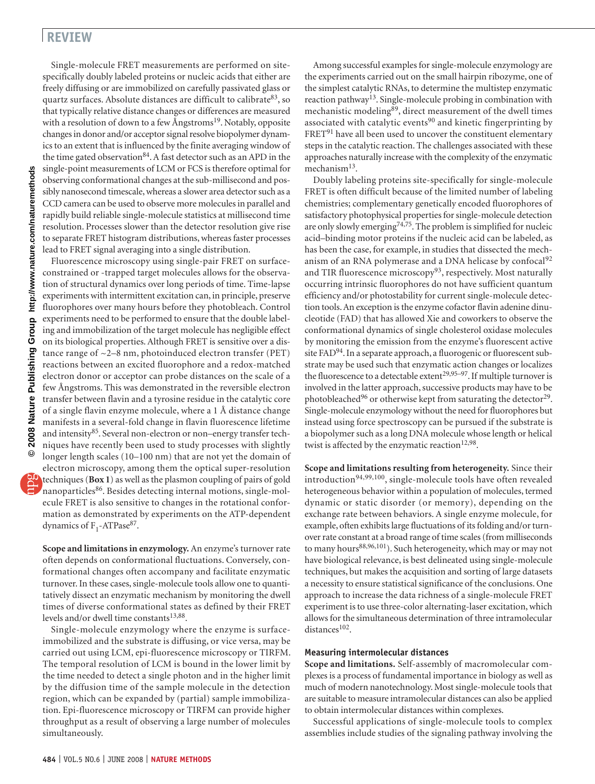Single-molecule FRET measurements are performed on sitespecifically doubly labeled proteins or nucleic acids that either are freely diffusing or are immobilized on carefully passivated glass or quartz surfaces. Absolute distances are difficult to calibrate<sup>83</sup>, so that typically relative distance changes or differences are measured with a resolution of down to a few Ångstroms<sup>19</sup>. Notably, opposite changes in donor and/or acceptor signal resolve biopolymer dynamics to an extent that is influenced by the finite averaging window of the time gated observation<sup>84</sup>. A fast detector such as an APD in the single-point measurements of LCM or FCS is therefore optimal for observing conformational changes at the sub-millisecond and possibly nanosecond timescale, whereas a slower area detector such as a CCD camera can be used to observe more molecules in parallel and rapidly build reliable single-molecule statistics at millisecond time resolution. Processes slower than the detector resolution give rise to separate FRET histogram distributions, whereas faster processes lead to FRET signal averaging into a single distribution.

Fluorescence microscopy using single-pair FRET on surfaceconstrained or -trapped target molecules allows for the observation of structural dynamics over long periods of time. Time-lapse experiments with intermittent excitation can, in principle, preserve fluorophores over many hours before they photobleach. Control experiments need to be performed to ensure that the double labeling and immobilization of the target molecule has negligible effect on its biological properties. Although FRET is sensitive over a distance range of  $\sim$ 2–8 nm, photoinduced electron transfer (PET) reactions between an excited fluorophore and a redox-matched electron donor or acceptor can probe distances on the scale of a few Ångstroms. This was demonstrated in the reversible electron transfer between flavin and a tyrosine residue in the catalytic core of a single flavin enzyme molecule, where a 1 Å distance change manifests in a several-fold change in flavin fluorescence lifetime and intensity<sup>85</sup>. Several non-electron or non-energy transfer techniques have recently been used to study processes with slightly longer length scales (10–100 nm) that are not yet the domain of electron microscopy, among them the optical super-resolution techniques (**Box 1**) as well as the plasmon coupling of pairs of gold nanoparticles<sup>86</sup>. Besides detecting internal motions, single-molecule FRET is also sensitive to changes in the rotational conformation as demonstrated by experiments on the ATP-dependent dynamics of  $F_1$ -ATPase<sup>87</sup>.

**Scope and limitations in enzymology.** An enzyme's turnover rate often depends on conformational fluctuations. Conversely, conformational changes often accompany and facilitate enzymatic turnover. In these cases, single-molecule tools allow one to quantitatively dissect an enzymatic mechanism by monitoring the dwell times of diverse conformational states as defined by their FRET levels and/or dwell time constants<sup>13,88</sup>.

Single-molecule enzymology where the enzyme is surfaceimmobilized and the substrate is diffusing, or vice versa, may be carried out using LCM, epi-fluorescence microscopy or TIRFM. The temporal resolution of LCM is bound in the lower limit by the time needed to detect a single photon and in the higher limit by the diffusion time of the sample molecule in the detection region, which can be expanded by (partial) sample immobilization. Epi-fluorescence microscopy or TIRFM can provide higher throughput as a result of observing a large number of molecules simultaneously.

Among successful examples for single-molecule enzymology are the experiments carried out on the small hairpin ribozyme, one of the simplest catalytic RNAs, to determine the multistep enzymatic reaction pathway<sup>13</sup>. Single-molecule probing in combination with mechanistic modeling<sup>89</sup>, direct measurement of the dwell times associated with catalytic events<sup>90</sup> and kinetic fingerprinting by  $FRET<sup>91</sup>$  have all been used to uncover the constituent elementary steps in the catalytic reaction. The challenges associated with these approaches naturally increase with the complexity of the enzymatic mechanism<sup>13</sup>.

Doubly labeling proteins site-specifically for single-molecule FRET is often difficult because of the limited number of labeling chemistries; complementary genetically encoded fluorophores of satisfactory photophysical properties for single-molecule detection are only slowly emerging<sup>74,75</sup>. The problem is simplified for nucleic acid–binding motor proteins if the nucleic acid can be labeled, as has been the case, for example, in studies that dissected the mechanism of an RNA polymerase and a DNA helicase by confocal<sup>92</sup> and TIR fluorescence microscopy<sup>93</sup>, respectively. Most naturally occurring intrinsic fluorophores do not have sufficient quantum efficiency and/or photostability for current single-molecule detection tools. An exception is the enzyme cofactor flavin adenine dinucleotide (FAD) that has allowed Xie and coworkers to observe the conformational dynamics of single cholesterol oxidase molecules by monitoring the emission from the enzyme's fluorescent active site FAD<sup>94</sup>. In a separate approach, a fluorogenic or fluorescent substrate may be used such that enzymatic action changes or localizes the fluorescence to a detectable extent<sup>29,95–97</sup>. If multiple turnover is involved in the latter approach, successive products may have to be photobleached<sup>96</sup> or otherwise kept from saturating the detector<sup>29</sup>. Single-molecule enzymology without the need for fluorophores but instead using force spectroscopy can be pursued if the substrate is a biopolymer such as a long DNA molecule whose length or helical twist is affected by the enzymatic reaction<sup>12,98</sup>.

**Scope and limitations resulting from heterogeneity.** Since their introduction94,99,100, single-molecule tools have often revealed heterogeneous behavior within a population of molecules, termed dynamic or static disorder (or memory), depending on the exchange rate between behaviors. A single enzyme molecule, for example, often exhibits large fluctuations of its folding and/or turnover rate constant at a broad range of time scales (from milliseconds to many hours<sup>88,96,101</sup>). Such heterogeneity, which may or may not have biological relevance, is best delineated using single-molecule techniques, but makes the acquisition and sorting of large datasets a necessity to ensure statistical significance of the conclusions. One approach to increase the data richness of a single-molecule FRET experiment is to use three-color alternating-laser excitation, which allows for the simultaneous determination of three intramolecular distances<sup>102</sup>.

#### **Measuring intermolecular distances**

**Scope and limitations.** Self-assembly of macromolecular complexes is a process of fundamental importance in biology as well as much of modern nanotechnology. Most single-molecule tools that are suitable to measure intramolecular distances can also be applied to obtain intermolecular distances within complexes.

Successful applications of single-molecule tools to complex assemblies include studies of the signaling pathway involving the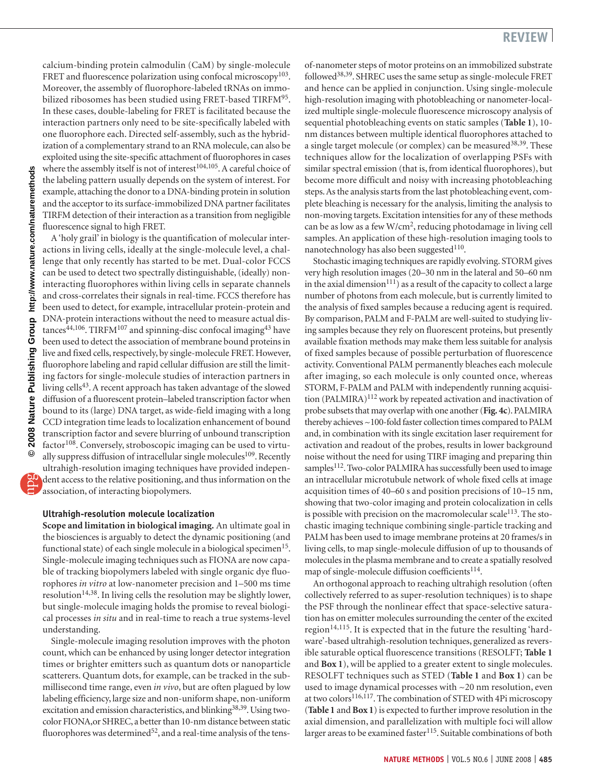calcium-binding protein calmodulin (CaM) by single-molecule FRET and fluorescence polarization using confocal microscopy<sup>103</sup>. Moreover, the assembly of fluorophore-labeled tRNAs on immobilized ribosomes has been studied using FRET-based TIRFM<sup>95</sup>. In these cases, double-labeling for FRET is facilitated because the interaction partners only need to be site-specifically labeled with one fluorophore each. Directed self-assembly, such as the hybridization of a complementary strand to an RNA molecule, can also be exploited using the site-specific attachment of fluorophores in cases where the assembly itself is not of interest<sup>104,105</sup>. A careful choice of the labeling pattern usually depends on the system of interest. For example, attaching the donor to a DNA-binding protein in solution and the acceptor to its surface-immobilized DNA partner facilitates TIRFM detection of their interaction as a transition from negligible fluorescence signal to high FRET.

A 'holy grail' in biology is the quantification of molecular interactions in living cells, ideally at the single-molecule level, a challenge that only recently has started to be met. Dual-color FCCS can be used to detect two spectrally distinguishable, (ideally) noninteracting fluorophores within living cells in separate channels and cross-correlates their signals in real-time. FCCS therefore has been used to detect, for example, intracellular protein-protein and DNA-protein interactions without the need to measure actual dis $tances<sup>44,106</sup>$ . TIRFM<sup>107</sup> and spinning-disc confocal imaging<sup>43</sup> have been used to detect the association of membrane bound proteins in live and fixed cells, respectively, by single-molecule FRET. However, fluorophore labeling and rapid cellular diffusion are still the limiting factors for single-molecule studies of interaction partners in living cells<sup>43</sup>. A recent approach has taken advantage of the slowed diffusion of a fluorescent protein–labeled transcription factor when bound to its (large) DNA target, as wide-field imaging with a long CCD integration time leads to localization enhancement of bound transcription factor and severe blurring of unbound transcription factor<sup>108</sup>. Conversely, stroboscopic imaging can be used to virtually suppress diffusion of intracellular single molecules<sup>109</sup>. Recently ultrahigh-resolution imaging techniques have provided independent access to the relative positioning, and thus information on the association, of interacting biopolymers.

#### **Ultrahigh-resolution molecule localization**

**Scope and limitation in biological imaging.** An ultimate goal in the biosciences is arguably to detect the dynamic positioning (and functional state) of each single molecule in a biological specimen<sup>15</sup>. Single-molecule imaging techniques such as FIONA are now capable of tracking biopolymers labeled with single organic dye fluorophores *in vitro* at low-nanometer precision and 1–500 ms time resolution<sup>14,38</sup>. In living cells the resolution may be slightly lower, but single-molecule imaging holds the promise to reveal biological processes *in situ* and in real-time to reach a true systems-level understanding.

Single-molecule imaging resolution improves with the photon count, which can be enhanced by using longer detector integration times or brighter emitters such as quantum dots or nanoparticle scatterers. Quantum dots, for example, can be tracked in the submillisecond time range, even *in vivo*, but are often plagued by low labeling efficiency, large size and non-uniform shape, non-uniform excitation and emission characteristics, and blinking<sup>38,39</sup>. Using twocolor FIONA,or SHREC, a better than 10-nm distance between static fluorophores was determined<sup>52</sup>, and a real-time analysis of the tensof-nanometer steps of motor proteins on an immobilized substrate followed38,39. SHREC uses the same setup as single-molecule FRET and hence can be applied in conjunction. Using single-molecule high-resolution imaging with photobleaching or nanometer-localized multiple single-molecule fluorescence microscopy analysis of sequential photobleaching events on static samples (**Table 1**), 10 nm distances between multiple identical fluorophores attached to a single target molecule (or complex) can be measured  $38,39$ . These techniques allow for the localization of overlapping PSFs with similar spectral emission (that is, from identical fluorophores), but become more difficult and noisy with increasing photobleaching steps. As the analysis starts from the last photobleaching event, complete bleaching is necessary for the analysis, limiting the analysis to non-moving targets. Excitation intensities for any of these methods can be as low as a few  $W/cm^2$ , reducing photodamage in living cell samples. An application of these high-resolution imaging tools to nanotechnology has also been suggested $110$ .

Stochastic imaging techniques are rapidly evolving. STORM gives very high resolution images (20–30 nm in the lateral and 50–60 nm in the axial dimension<sup>111</sup>) as a result of the capacity to collect a large number of photons from each molecule, but is currently limited to the analysis of fixed samples because a reducing agent is required. By comparison, PALM and F-PALM are well-suited to studying living samples because they rely on fluorescent proteins, but presently available fixation methods may make them less suitable for analysis of fixed samples because of possible perturbation of fluorescence activity. Conventional PALM permanently bleaches each molecule after imaging, so each molecule is only counted once, whereas STORM, F-PALM and PALM with independently running acquisition (PALMIRA)<sup>112</sup> work by repeated activation and inactivation of probe subsets that may overlap with one another (**Fig. 4c**). PALMIRA thereby achieves ~100-fold faster collection times compared to PALM and, in combination with its single excitation laser requirement for activation and readout of the probes, results in lower background noise without the need for using TIRF imaging and preparing thin samples<sup>112</sup>. Two-color PALMIRA has successfully been used to image an intracellular microtubule network of whole fixed cells at image acquisition times of 40–60 s and position precisions of 10–15 nm, showing that two-color imaging and protein colocalization in cells is possible with precision on the macromolecular scale<sup>113</sup>. The stochastic imaging technique combining single-particle tracking and PALM has been used to image membrane proteins at 20 frames/s in living cells, to map single-molecule diffusion of up to thousands of molecules in the plasma membrane and to create a spatially resolved map of single-molecule diffusion coefficients<sup>114</sup>.

An orthogonal approach to reaching ultrahigh resolution (often collectively referred to as super-resolution techniques) is to shape the PSF through the nonlinear effect that space-selective saturation has on emitter molecules surrounding the center of the excited  $region<sup>14,115</sup>$ . It is expected that in the future the resulting 'hardware'-based ultrahigh-resolution techniques, generalized as reversible saturable optical fluorescence transitions (RESOLFT; **Table 1** and **Box 1**), will be applied to a greater extent to single molecules. RESOLFT techniques such as STED (**Table 1** and **Box 1**) can be used to image dynamical processes with ~20 nm resolution, even at two colors<sup>116,117</sup>. The combination of STED with 4Pi microscopy (**Table 1** and **Box 1**) is expected to further improve resolution in the axial dimension, and parallelization with multiple foci will allow larger areas to be examined faster<sup>115</sup>. Suitable combinations of both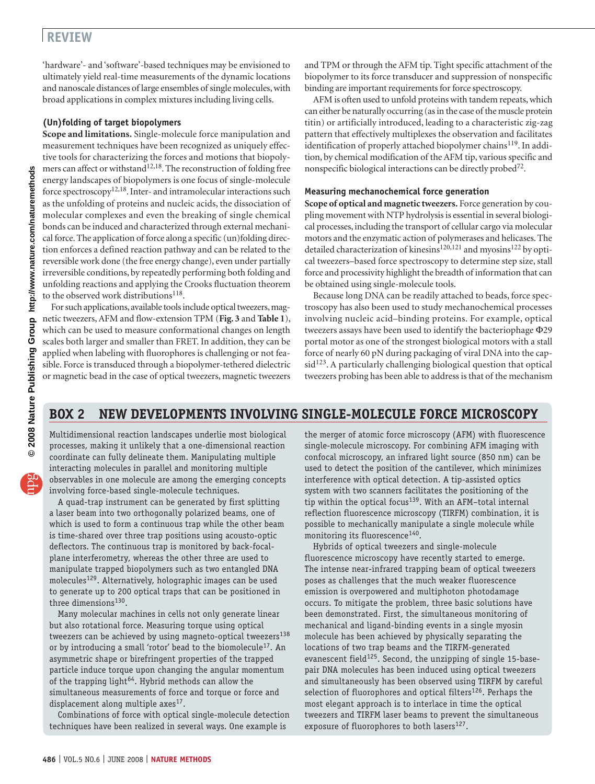'hardware'- and 'software'-based techniques may be envisioned to ultimately yield real-time measurements of the dynamic locations and nanoscale distances of large ensembles of single molecules, with broad applications in complex mixtures including living cells.

#### **(Un)folding of target biopolymers**

**Scope and limitations.** Single-molecule force manipulation and measurement techniques have been recognized as uniquely effective tools for characterizing the forces and motions that biopolymers can affect or withstand<sup>12,18</sup>. The reconstruction of folding free energy landscapes of biopolymers is one focus of single-molecule force spectroscopy<sup>12,18</sup>. Inter- and intramolecular interactions such as the unfolding of proteins and nucleic acids, the dissociation of molecular complexes and even the breaking of single chemical bonds can be induced and characterized through external mechanical force. The application of force along a specific (un)folding direction enforces a defined reaction pathway and can be related to the reversible work done (the free energy change), even under partially irreversible conditions, by repeatedly performing both folding and unfolding reactions and applying the Crooks fluctuation theorem to the observed work distributions<sup>118</sup>.

For such applications, available tools include optical tweezers, magnetic tweezers, AFM and flow-extension TPM (**Fig. 3** and **Table 1**), which can be used to measure conformational changes on length scales both larger and smaller than FRET. In addition, they can be applied when labeling with fluorophores is challenging or not feasible. Force is transduced through a biopolymer-tethered dielectric or magnetic bead in the case of optical tweezers, magnetic tweezers and TPM or through the AFM tip. Tight specific attachment of the biopolymer to its force transducer and suppression of nonspecific binding are important requirements for force spectroscopy.

AFM is often used to unfold proteins with tandem repeats, which can either be naturally occurring (as in the case of the muscle protein titin) or artificially introduced, leading to a characteristic zig-zag pattern that effectively multiplexes the observation and facilitates identification of properly attached biopolymer chains<sup>119</sup>. In addition, by chemical modification of the AFM tip, various specific and nonspecific biological interactions can be directly probed<sup>72</sup>.

#### **Measuring mechanochemical force generation**

**Scope of optical and magnetic tweezers.** Force generation by coupling movement with NTP hydrolysis is essential in several biological processes, including the transport of cellular cargo via molecular motors and the enzymatic action of polymerases and helicases. The detailed characterization of kinesins<sup>120,121</sup> and myosins<sup>122</sup> by optical tweezers–based force spectroscopy to determine step size, stall force and processivity highlight the breadth of information that can be obtained using single-molecule tools.

Because long DNA can be readily attached to beads, force spectroscopy has also been used to study mechanochemical processes involving nucleic acid–binding proteins. For example, optical tweezers assays have been used to identify the bacteriophage Φ29 portal motor as one of the strongest biological motors with a stall force of nearly 60 pN during packaging of viral DNA into the capsid<sup>123</sup>. A particularly challenging biological question that optical tweezers probing has been able to address is that of the mechanism

### **BOX 2 NEW DEVELOPMENTS INVOLVING SINGLE-MOLECULE FORCE MICROSCOPY**

Multidimensional reaction landscapes underlie most biological processes, making it unlikely that a one-dimensional reaction coordinate can fully delineate them. Manipulating multiple interacting molecules in parallel and monitoring multiple observables in one molecule are among the emerging concepts involving force-based single-molecule techniques.

A quad-trap instrument can be generated by first splitting a laser beam into two orthogonally polarized beams, one of which is used to form a continuous trap while the other beam is time-shared over three trap positions using acousto-optic deflectors. The continuous trap is monitored by back-focalplane interferometry, whereas the other three are used to manipulate trapped biopolymers such as two entangled DNA molecules<sup>129</sup>. Alternatively, holographic images can be used to generate up to 200 optical traps that can be positioned in three dimensions<sup>130</sup>.

Many molecular machines in cells not only generate linear but also rotational force. Measuring torque using optical tweezers can be achieved by using magneto-optical tweezers<sup>138</sup> or by introducing a small 'rotor' bead to the biomolecule<sup>17</sup>. An asymmetric shape or birefringent properties of the trapped particle induce torque upon changing the angular momentum of the trapping light<sup>64</sup>. Hybrid methods can allow the simultaneous measurements of force and torque or force and displacement along multiple  $axes<sup>17</sup>$ .

Combinations of force with optical single-molecule detection techniques have been realized in several ways. One example is

the merger of atomic force microscopy (AFM) with fluorescence single-molecule microscopy. For combining AFM imaging with confocal microscopy, an infrared light source (850 nm) can be used to detect the position of the cantilever, which minimizes interference with optical detection. A tip-assisted optics system with two scanners facilitates the positioning of the tip within the optical focus<sup>139</sup>. With an AFM-total internal reflection fluorescence microscopy (TIRFM) combination, it is possible to mechanically manipulate a single molecule while monitoring its fluorescence<sup>140</sup>.

Hybrids of optical tweezers and single-molecule fluorescence microscopy have recently started to emerge. The intense near-infrared trapping beam of optical tweezers poses as challenges that the much weaker fluorescence emission is overpowered and multiphoton photodamage occurs. To mitigate the problem, three basic solutions have been demonstrated. First, the simultaneous monitoring of mechanical and ligand-binding events in a single myosin molecule has been achieved by physically separating the locations of two trap beams and the TIRFM-generated evanescent field<sup>125</sup>. Second, the unzipping of single 15-basepair DNA molecules has been induced using optical tweezers and simultaneously has been observed using TIRFM by careful selection of fluorophores and optical filters<sup>126</sup>. Perhaps the most elegant approach is to interlace in time the optical tweezers and TIRFM laser beams to prevent the simultaneous exposure of fluorophores to both lasers<sup>127</sup>.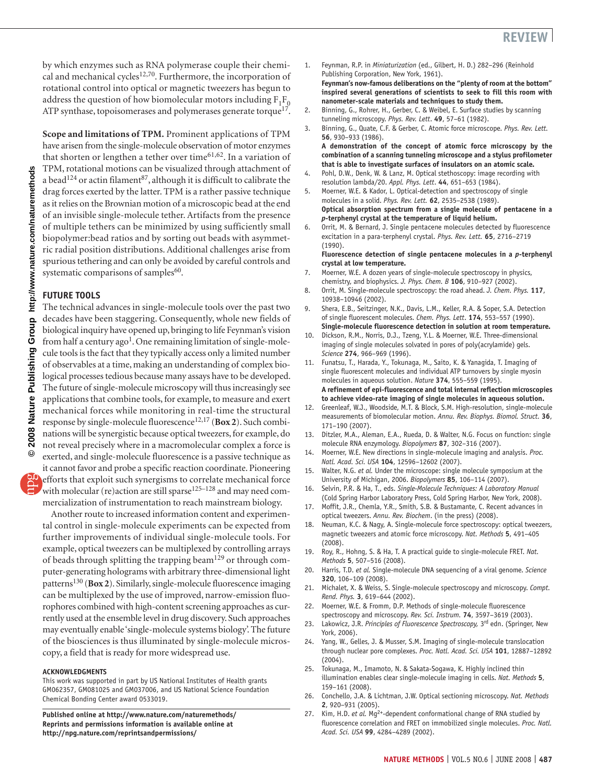by which enzymes such as RNA polymerase couple their chemical and mechanical cycles<sup>12,70</sup>. Furthermore, the incorporation of rotational control into optical or magnetic tweezers has begun to address the question of how biomolecular motors including  $F_1F_0$ ATP synthase, topoisomerases and polymerases generate torque $^{17}$ .

**Scope and limitations of TPM.** Prominent applications of TPM have arisen from the single-molecule observation of motor enzymes that shorten or lengthen a tether over time<sup>61,62</sup>. In a variation of TPM, rotational motions can be visualized through attachment of a bead<sup>124</sup> or actin filament<sup>87</sup>, although it is difficult to calibrate the drag forces exerted by the latter. TPM is a rather passive technique as it relies on the Brownian motion of a microscopic bead at the end of an invisible single-molecule tether. Artifacts from the presence of multiple tethers can be minimized by using sufficiently small biopolymer:bead ratios and by sorting out beads with asymmetric radial position distributions. Additional challenges arise from spurious tethering and can only be avoided by careful controls and systematic comparisons of samples $60$ .

### **FUTURE TOOLS**

The technical advances in single-molecule tools over the past two decades have been staggering. Consequently, whole new fields of biological inquiry have opened up, bringing to life Feynman's vision from half a century  $ago<sup>1</sup>$ . One remaining limitation of single-molecule tools is the fact that they typically access only a limited number of observables at a time, making an understanding of complex biological processes tedious because many assays have to be developed. The future of single-molecule microscopy will thus increasingly see applications that combine tools, for example, to measure and exert mechanical forces while monitoring in real-time the structural response by single-molecule fluorescence<sup>12,17</sup> (Box 2). Such combinations will be synergistic because optical tweezers, for example, do not reveal precisely where in a macromolecular complex a force is exerted, and single-molecule fluorescence is a passive technique as it cannot favor and probe a specific reaction coordinate. Pioneering efforts that exploit such synergisms to correlate mechanical force with molecular (re)action are still sparse<sup>125–128</sup> and may need commercialization of instrumentation to reach mainstream biology.

Another route to increased information content and experimental control in single-molecule experiments can be expected from further improvements of individual single-molecule tools. For example, optical tweezers can be multiplexed by controlling arrays of beads through splitting the trapping beam<sup>129</sup> or through computer-generating holograms with arbitrary three-dimensional light patterns130 (**Box 2**). Similarly, single-molecule fluorescence imaging can be multiplexed by the use of improved, narrow-emission fluorophores combined with high-content screening approaches as currently used at the ensemble level in drug discovery. Such approaches may eventually enable 'single-molecule systems biology'. The future of the biosciences is thus illuminated by single-molecule microscopy, a field that is ready for more widespread use.

#### **ACKNOWLEDGMENTS**

This work was supported in part by US National Institutes of Health grants GM062357, GM081025 and GM037006, and US National Science Foundation Chemical Bonding Center award 0533019.

**Published online at <http://www.nature.com/naturemethods/> Reprints and permissions information is available online at <http://npg.nature.com/reprintsandpermissions>/**

- 1. Feynman, R.P. in *Miniaturization* (ed., Gilbert, H. D.) 282–296 (Reinhold Publishing Corporation, New York, 1961). **Feynman's now-famous deliberations on the "plenty of room at the bottom" inspired several generations of scientists to seek to fill this room with nanometer-scale materials and techniques to study them.**
- 2. Binning, G., Rohrer, H., Gerber, C. & Weibel, E. Surface studies by scanning tunneling microscopy. *Phys. Rev. Lett*. **49**, 57–61 (1982).
- 3. Binning, G., Quate, C.F. & Gerber, C. Atomic force microscope. *Phys. Rev. Lett.*  **56**, 930–933 (1986). **A demonstration of the concept of atomic force microscopy by the combination of a scanning tunneling microscope and a stylus profilometer that is able to investigate surfaces of insulators on an atomic scale.**
- 4. Pohl, D.W., Denk, W. & Lanz, M. Optical stethoscopy: image recording with resolution lambda/20. *Appl. Phys. Lett*. **44**, 651–653 (1984).
- 5. Moerner, W.E. & Kador, L. Optical-detection and spectroscopy of single molecules in a solid. *Phys. Rev. Lett.* **62**, 2535–2538 (1989). **Optical absorption spectrum from a single molecule of pentacene in a** *p***-terphenyl crystal at the temperature of liquid helium.**
- 6. Orrit, M. & Bernard, J. Single pentacene molecules detected by fluorescence excitation in a para-terphenyl crystal. *Phys. Rev. Lett.* **65**, 2716–2719 (1990).
- **Fluorescence detection of single pentacene molecules in a** *p***-terphenyl crystal at low temperature.**
- 7. Moerner, W.E. A dozen years of single-molecule spectroscopy in physics, chemistry, and biophysics. *J. Phys. Chem. B* **106**, 910–927 (2002).
- 8. Orrit, M. Single-molecule spectroscopy: the road ahead. *J. Chem. Phys.* **117**, 10938–10946 (2002).
- 9. Shera, E.B., Seitzinger, N.K., Davis, L.M., Keller, R.A. & Soper, S.A. Detection of single fluorescent molecules. *Chem. Phys. Lett*. **174**, 553–557 (1990). **Single-molecule fluorescence detection in solution at room temperature.**
- 10. Dickson, R.M., Norris, D.J., Tzeng, Y.L. & Moerner, W.E. Three-dimensional imaging of single molecules solvated in pores of poly(acrylamide) gels. *Science* **274**, 966–969 (1996).
- 11. Funatsu, T., Harada, Y., Tokunaga, M., Saito, K. & Yanagida, T. Imaging of single fluorescent molecules and individual ATP turnovers by single myosin molecules in aqueous solution. *Nature* **374**, 555–559 (1995). **A refinement of epi-fluorescence and total internal reflection microscopies to achieve video-rate imaging of single molecules in aqueous solution.**
- 12. Greenleaf, W.J., Woodside, M.T. & Block, S.M. High-resolution, single-molecule measurements of biomolecular motion. *Annu. Rev. Biophys. Biomol. Struct.* **36**, 171–190 (2007).
- 13. Ditzler, M.A., Aleman, E.A., Rueda, D. & Walter, N.G. Focus on function: single molecule RNA enzymology. *Biopolymers* **87**, 302–316 (2007).
- 14. Moerner, W.E. New directions in single-molecule imaging and analysis. *Proc. Natl. Acad. Sci. USA* **104**, 12596–12602 (2007).
- 15. Walter, N.G. *et al.* Under the microscope: single molecule symposium at the University of Michigan, 2006. *Biopolymers* **85**, 106–114 (2007).
- 16. Selvin, P.R. & Ha, T., eds. *Single-Molecule Techniques: A Laboratory Manual* (Cold Spring Harbor Laboratory Press, Cold Spring Harbor, New York, 2008).
- 17. Moffit, J.R., Chemla, Y.R., Smith, S.B. & Bustamante, C. Recent advances in optical tweezers. *Annu. Rev. Biochem*. (in the press) (2008).
- 18. Neuman, K.C. & Nagy, A. Single-molecule force spectroscopy: optical tweezers, magnetic tweezers and atomic force microscopy. *Nat. Methods* **5**, 491–405 (2008).
- 19. Roy, R., Hohng, S. & Ha, T. A practical guide to single-molecule FRET. *Nat. Methods* **5**, 507–516 (2008).
- 20. Harris, T.D. *et al.* Single-molecule DNA sequencing of a viral genome. *Science* **320**, 106–109 (2008).
- 21. Michalet, X. & Weiss, S. Single-molecule spectroscopy and microscopy. *Compt. Rend. Phys.* **3**, 619–644 (2002).
- 22. Moerner, W.E. & Fromm, D.P. Methods of single-molecule fluorescence spectroscopy and microscopy. *Rev. Sci. Instrum.* **74**, 3597–3619 (2003).
- 23. Lakowicz, J.R. *Principles of Fluorescence Spectroscopy,* 3rd edn. (Springer, New York, 2006).
- 24. Yang, W., Gelles, J. & Musser, S.M. Imaging of single-molecule translocation through nuclear pore complexes. *Proc. Natl. Acad. Sci. USA* **101**, 12887–12892 (2004).
- 25. Tokunaga, M., Imamoto, N. & Sakata-Sogawa, K. Highly inclined thin illumination enables clear single-molecule imaging in cells. *Nat. Methods* **5**, 159–161 (2008).
- 26. Conchello, J.A. & Lichtman, J.W. Optical sectioning microscopy. *Nat. Methods* **2**, 920–931 (2005).
- 27. Kim, H.D. *et al.* Mg<sup>2+</sup>-dependent conformational change of RNA studied by fluorescence correlation and FRET on immobilized single molecules. *Proc. Natl. Acad. Sci. USA* **99**, 4284–4289 (2002).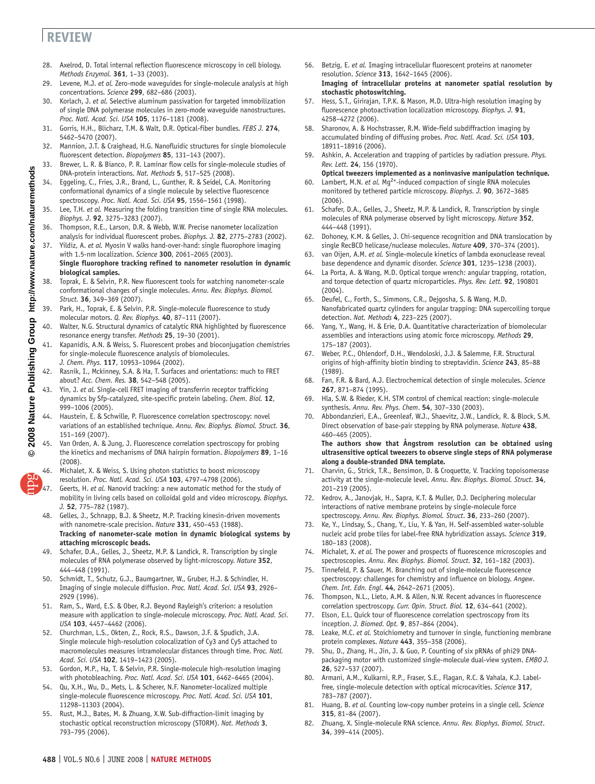- 28. Axelrod, D. Total internal reflection fluorescence microscopy in cell biology. *Methods Enzymol.* **361**, 1–33 (2003).
- 29. Levene, M.J. *et al.* Zero-mode waveguides for single-molecule analysis at high concentrations. *Science* **299**, 682–686 (2003).
- 30. Korlach, J. *et al.* Selective aluminum passivation for targeted immobilization of single DNA polymerase molecules in zero-mode waveguide nanostructures. *Proc. Natl. Acad. Sci. USA* **105**, 1176–1181 (2008).
- 31. Gorris, H.H., Blicharz, T.M. & Walt, D.R. Optical-fiber bundles. *FEBS J.* **274**, 5462–5470 (2007).
- 32. Mannion, J.T. & Craighead, H.G. Nanofluidic structures for single biomolecule fluorescent detection. *Biopolymers* **85**, 131–143 (2007).
- 33. Brewer, L. R. & Bianco, P. R. Laminar flow cells for single-molecule studies of DNA-protein interactions. *Nat. Methods* **5**, 517–525 (2008).
- 34. Eggeling, C., Fries, J.R., Brand, L., Gunther, R. & Seidel, C.A. Monitoring conformational dynamics of a single molecule by selective fluorescence spectroscopy. *Proc. Natl. Acad. Sci. USA* **95**, 1556–1561 (1998).
- 35. Lee, T.H. *et al.* Measuring the folding transition time of single RNA molecules. *Biophys. J*. **92**, 3275–3283 (2007).
- 36. Thompson, R.E., Larson, D.R. & Webb, W.W. Precise nanometer localization analysis for individual fluorescent probes. *Biophys. J.* **82**, 2775–2783 (2002).
- 37. Yildiz, A. *et al.* Myosin V walks hand-over-hand: single fluorophore imaging with 1.5-nm localization. *Science* **300**, 2061–2065 (2003).
- **Single fluorophore tracking refined to nanometer resolution in dynamic biological samples.**
- 38. Toprak, E. & Selvin, P.R. New fluorescent tools for watching nanometer-scale conformational changes of single molecules. *Annu. Rev. Biophys. Biomol. Struct.* **36**, 349–369 (2007).
- 39. Park, H., Toprak, E. & Selvin, P.R. Single-molecule fluorescence to study molecular motors. *Q. Rev. Biophys.* **40**, 87–111 (2007).
- 40. Walter, N.G. Structural dynamics of catalytic RNA highlighted by fluorescence resonance energy transfer. *Methods* **25**, 19–30 (2001).
- 41. Kapanidis, A.N. & Weiss, S. Fluorescent probes and bioconjugation chemistries for single-molecule fluorescence analysis of biomolecules. *J. Chem. Phys.* **117**, 10953–10964 (2002).
- 42. Rasnik, I., Mckinney, S.A. & Ha, T. Surfaces and orientations: much to FRET about? *Acc. Chem. Res.* **38**, 542–548 (2005).
- 43. Yin, J. *et al.* Single-cell FRET imaging of transferrin receptor trafficking dynamics by Sfp-catalyzed, site-specific protein labeling. *Chem. Biol.* **12**, 999–1006 (2005).
- 44. Haustein, E. & Schwille, P. Fluorescence correlation spectroscopy: novel variations of an established technique. *Annu. Rev. Biophys. Biomol. Struct.* **36**, 151–169 (2007).
- 45. Van Orden, A. & Jung, J. Fluorescence correlation spectroscopy for probing the kinetics and mechanisms of DNA hairpin formation. *Biopolymers* **89**, 1–16 (2008).
- 46. Michalet, X. & Weiss, S. Using photon statistics to boost microscopy resolution. *Proc. Natl. Acad. Sci. USA* **103**, 4797–4798 (2006).
- Geerts, H. *et al.* Nanovid tracking: a new automatic method for the study of mobility in living cells based on colloidal gold and video microscopy. *Biophys. J.* **52**, 775–782 (1987).
- 48. Gelles, J., Schnapp, B.J. & Sheetz, M.P. Tracking kinesin-driven movements with nanometre-scale precision. *Nature* **331**, 450–453 (1988). **Tracking of nanometer-scale motion in dynamic biological systems by attaching microscopic beads.**
- 49. Schafer, D.A., Gelles, J., Sheetz, M.P. & Landick, R. Transcription by single molecules of RNA polymerase observed by light-microscopy. *Nature* **352**, 444–448 (1991).
- 50. Schmidt, T., Schutz, G.J., Baumgartner, W., Gruber, H.J. & Schindler, H. Imaging of single molecule diffusion. *Proc. Natl. Acad. Sci. USA* **93**, 2926– 2929 (1996).
- 51. Ram, S., Ward, E.S. & Ober, R.J. Beyond Rayleigh's criterion: a resolution measure with application to single-molecule microscopy. *Proc. Natl. Acad. Sci. USA* **103**, 4457–4462 (2006).
- 52. Churchman, L.S., Okten, Z., Rock, R.S., Dawson, J.F. & Spudich, J.A. Single molecule high-resolution colocalization of Cy3 and Cy5 attached to macromolecules measures intramolecular distances through time. P*roc. Natl. Acad. Sci. USA* **102**, 1419–1423 (2005).
- 53. Gordon, M.P., Ha, T. & Selvin, P.R. Single-molecule high-resolution imaging with photobleaching. *Proc. Natl. Acad. Sci. USA* **101**, 6462–6465 (2004).
- Qu, X.H., Wu, D., Mets, L. & Scherer, N.F. Nanometer-localized multiple single-molecule fluorescence microscopy. *Proc. Natl. Acad. Sci. USA* **101**, 11298–11303 (2004).
- 55. Rust, M.J., Bates, M. & Zhuang, X.W. Sub-diffraction-limit imaging by stochastic optical reconstruction microscopy (STORM). *Nat. Methods* **3**, 793–795 (2006).
- 56. Betzig, E. *et al.* Imaging intracellular fluorescent proteins at nanometer resolution. *Science* **313**, 1642–1645 (2006). **Imaging of intracellular proteins at nanometer spatial resolution by stochastic photoswitching.**
- 57. Hess, S.T., Girirajan, T.P.K. & Mason, M.D. Ultra-high resolution imaging by fluorescence photoactivation localization microscopy. *Biophys. J.* **91**, 4258–4272 (2006).
- 58. Sharonov, A. & Hochstrasser, R.M. Wide-field subdiffraction imaging by accumulated binding of diffusing probes. *Proc. Natl. Acad. Sci. USA* **103**, 18911–18916 (2006).
- 59. Ashkin, A. Acceleration and trapping of particles by radiation pressure. *Phys. Rev. Lett.* **24**, 156 (1970).
- **Optical tweezers implemented as a noninvasive manipulation technique.**
- 60. Lambert, M.N. *et al.* Mg2+-induced compaction of single RNA molecules monitored by tethered particle microscopy. *Biophys. J.* **90**, 3672–3685 (2006).
- 61. Schafer, D.A., Gelles, J., Sheetz, M.P. & Landick, R. Transcription by single molecules of RNA polymerase observed by light microscopy. *Nature* **352**, 444–448 (1991).
- 62. Dohoney, K.M. & Gelles, J. Chi-sequence recognition and DNA translocation by single RecBCD helicase/nuclease molecules. *Nature* **409**, 370–374 (2001).
- 63. van Oijen, A.M. *et al.* Single-molecule kinetics of lambda exonuclease reveal base dependence and dynamic disorder. *Science* **301**, 1235–1238 (2003).
- 64. La Porta, A. & Wang, M.D. Optical torque wrench: angular trapping, rotation, and torque detection of quartz microparticles. *Phys. Rev. Lett.* **92**, 190801 (2004).
- 65. Deufel, C., Forth, S., Simmons, C.R., Dejgosha, S. & Wang, M.D. Nanofabricated quartz cylinders for angular trapping: DNA supercoiling torque detection. *Nat. Methods* **4**, 223–225 (2007).
- 66. Yang, Y., Wang, H. & Erie, D.A. Quantitative characterization of biomolecular assemblies and interactions using atomic force microscopy. *Methods* **29**, 175–187 (2003).
- 67. Weber, P.C., Ohlendorf, D.H., Wendoloski, J.J. & Salemme, F.R. Structural origins of high-affinity biotin binding to streptavidin. *Science* **243**, 85–88 (1989).
- 68. Fan, F.R. & Bard, A.J. Electrochemical detection of single molecules. *Science* **267**, 871–874 (1995).
- 69. Hla, S.W. & Rieder, K.H. STM control of chemical reaction: single-molecule synthesis. *Annu. Rev. Phys. Chem*. **54**, 307–330 (2003).
- 70. Abbondanzieri, E.A., Greenleaf, W.J., Shaevitz, J.W., Landick, R. & Block, S.M. Direct observation of base-pair stepping by RNA polymerase. *Nature* **438**, 460–465 (2005).

**The authors show that Ångstrom resolution can be obtained using ultrasensitive optical tweezers to observe single steps of RNA polymerase along a double-stranded DNA template.**

- 71. Charvin, G., Strick, T.R., Bensimon, D. & Croquette, V. Tracking topoisomerase activity at the single-molecule level. *Annu. Rev. Biophys. Biomol. Struct.* **34**, 201–219 (2005).
- 72. Kedrov, A., Janovjak, H., Sapra, K.T. & Muller, D.J. Deciphering molecular interactions of native membrane proteins by single-molecule force spectroscopy. *Annu. Rev. Biophys. Biomol. Struct*. **36**, 233–260 (2007).
- 73. Ke, Y., Lindsay, S., Chang, Y., Liu, Y. & Yan, H. Self-assembled water-soluble nucleic acid probe tiles for label-free RNA hybridization assays. *Science* **319**, 180–183 (2008).
- 74. Michalet, X. *et al.* The power and prospects of fluorescence microscopies and spectroscopies. *Annu. Rev. Biophys. Biomol. Struct.* **32**, 161–182 (2003).
- 75. Tinnefeld, P. & Sauer, M. Branching out of single-molecule fluorescence spectroscopy: challenges for chemistry and influence on biology. *Angew*. *Chem. Int. Edn. Engl*. **44**, 2642–2671 (2005).
- 76. Thompson, N.L., Lieto, A.M. & Allen, N.W. Recent advances in fluorescence correlation spectroscopy. *Curr. Opin. Struct. Biol.* **12**, 634–641 (2002).
- 77. Elson, E.L. Quick tour of fluorescence correlation spectroscopy from its inception. *J. Biomed. Opt.* **9**, 857–864 (2004).
- 78. Leake, M.C. *et al.* Stoichiometry and turnover in single, functioning membrane protein complexes. *Nature* **443**, 355–358 (2006).
- 79. Shu, D., Zhang, H., Jin, J. & Guo, P. Counting of six pRNAs of phi29 DNApackaging motor with customized single-molecule dual-view system. *EMBO J.* **26**, 527–537 (2007).
- 80. Armani, A.M., Kulkarni, R.P., Fraser, S.E., Flagan, R.C. & Vahala, K.J. Labelfree, single-molecule detection with optical microcavities. *Science* **317**, 783–787 (2007).
- 81. Huang, B. *et al.* Counting low-copy number proteins in a single cell. *Science* **315**, 81–84 (2007).
- 82. Zhuang, X. Single-molecule RNA science. *Annu. Rev. Biophys. Biomol. Struct*. **34**, 399–414 (2005).